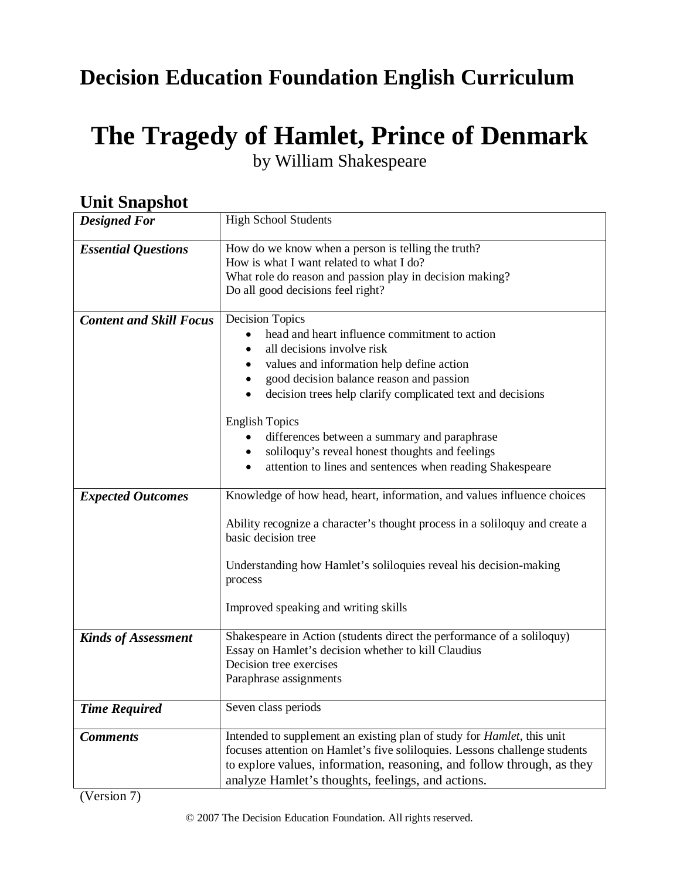# **Decision Education Foundation English Curriculum**

# **The Tragedy of Hamlet, Prince of Denmark** by William Shakespeare

| Они энармос                    |                                                                                                                                                                                                                                                                                             |  |
|--------------------------------|---------------------------------------------------------------------------------------------------------------------------------------------------------------------------------------------------------------------------------------------------------------------------------------------|--|
| <b>Designed For</b>            | <b>High School Students</b>                                                                                                                                                                                                                                                                 |  |
| <b>Essential Questions</b>     | How do we know when a person is telling the truth?<br>How is what I want related to what I do?<br>What role do reason and passion play in decision making?<br>Do all good decisions feel right?                                                                                             |  |
| <b>Content and Skill Focus</b> | <b>Decision Topics</b><br>head and heart influence commitment to action<br>all decisions involve risk<br>values and information help define action<br>good decision balance reason and passion<br>$\bullet$<br>decision trees help clarify complicated text and decisions<br>$\bullet$      |  |
|                                | <b>English Topics</b><br>differences between a summary and paraphrase<br>soliloquy's reveal honest thoughts and feelings<br>attention to lines and sentences when reading Shakespeare                                                                                                       |  |
| <b>Expected Outcomes</b>       | Knowledge of how head, heart, information, and values influence choices                                                                                                                                                                                                                     |  |
|                                | Ability recognize a character's thought process in a soliloquy and create a<br>basic decision tree                                                                                                                                                                                          |  |
|                                | Understanding how Hamlet's soliloquies reveal his decision-making<br>process                                                                                                                                                                                                                |  |
|                                | Improved speaking and writing skills                                                                                                                                                                                                                                                        |  |
| <b>Kinds of Assessment</b>     | Shakespeare in Action (students direct the performance of a soliloquy)<br>Essay on Hamlet's decision whether to kill Claudius<br>Decision tree exercises<br>Paraphrase assignments                                                                                                          |  |
| <b>Time Required</b>           | Seven class periods                                                                                                                                                                                                                                                                         |  |
| <b>Comments</b>                | Intended to supplement an existing plan of study for <i>Hamlet</i> , this unit<br>focuses attention on Hamlet's five soliloquies. Lessons challenge students<br>to explore values, information, reasoning, and follow through, as they<br>analyze Hamlet's thoughts, feelings, and actions. |  |

# *Unit Snanshot*

(Version 7)

© 2007 The Decision Education Foundation. All rights reserved.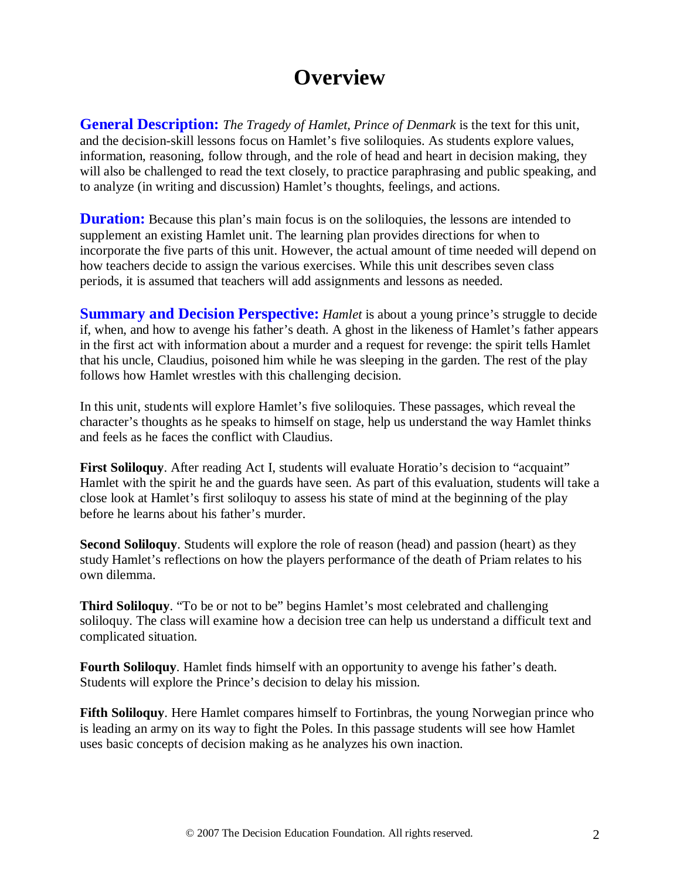# **Overview**

**General Description:** *The Tragedy of Hamlet, Prince of Denmark* is the text for this unit, and the decision-skill lessons focus on Hamlet's five soliloquies. As students explore values, information, reasoning, follow through, and the role of head and heart in decision making, they will also be challenged to read the text closely, to practice paraphrasing and public speaking, and to analyze (in writing and discussion) Hamlet's thoughts, feelings, and actions.

**Duration:** Because this plan's main focus is on the soliloquies, the lessons are intended to supplement an existing Hamlet unit. The learning plan provides directions for when to incorporate the five parts of this unit. However, the actual amount of time needed will depend on how teachers decide to assign the various exercises. While this unit describes seven class periods, it is assumed that teachers will add assignments and lessons as needed.

**Summary and Decision Perspective:** *Hamlet* is about a young prince's struggle to decide if, when, and how to avenge his father's death. A ghost in the likeness of Hamlet's father appears in the first act with information about a murder and a request for revenge: the spirit tells Hamlet that his uncle, Claudius, poisoned him while he was sleeping in the garden. The rest of the play follows how Hamlet wrestles with this challenging decision.

In this unit, students will explore Hamlet's five soliloquies. These passages, which reveal the character's thoughts as he speaks to himself on stage, help us understand the way Hamlet thinks and feels as he faces the conflict with Claudius.

First Soliloquy. After reading Act I, students will evaluate Horatio's decision to "acquaint" Hamlet with the spirit he and the guards have seen. As part of this evaluation, students will take a close look at Hamlet's first soliloquy to assess his state of mind at the beginning of the play before he learns about his father's murder.

**Second Soliloquy**. Students will explore the role of reason (head) and passion (heart) as they study Hamlet's reflections on how the players performance of the death of Priam relates to his own dilemma.

**Third Soliloquy.** "To be or not to be" begins Hamlet's most celebrated and challenging soliloquy. The class will examine how a decision tree can help us understand a difficult text and complicated situation.

**Fourth Soliloquy**. Hamlet finds himself with an opportunity to avenge his father's death. Students will explore the Prince's decision to delay his mission.

**Fifth Soliloquy**. Here Hamlet compares himself to Fortinbras, the young Norwegian prince who is leading an army on its way to fight the Poles. In this passage students will see how Hamlet uses basic concepts of decision making as he analyzes his own inaction.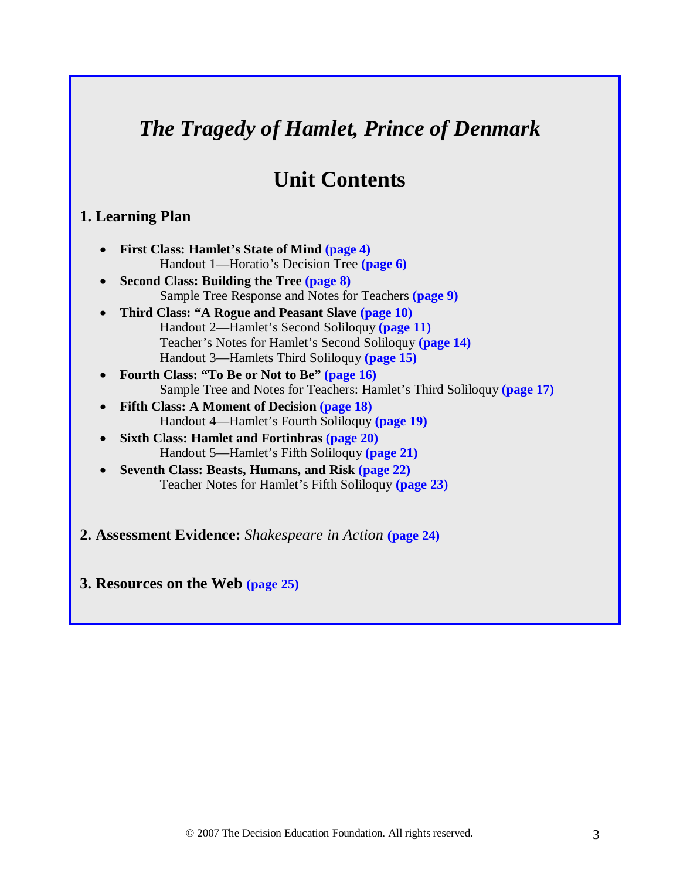# *The Tragedy of Hamlet, Prince of Denmark*

# **Unit Contents**

## **1. Learning Plan**

- **First Class: Hamlet's State of Mind (page 4)** Handout 1—Horatio's Decision Tree **(page 6)**
- **Second Class: Building the Tree (page 8)** Sample Tree Response and Notes for Teachers **(page 9)**
- **Third Class: "A Rogue and Peasant Slave (page 10)** Handout 2—Hamlet's Second Soliloquy **(page 11)** Teacher's Notes for Hamlet's Second Soliloquy **(page 14)** Handout 3—Hamlets Third Soliloquy **(page 15)**
- **Fourth Class: "To Be or Not to Be" (page 16)** Sample Tree and Notes for Teachers: Hamlet's Third Soliloquy **(page 17)**
- **Fifth Class: A Moment of Decision (page 18)** Handout 4—Hamlet's Fourth Soliloquy **(page 19)**
- **Sixth Class: Hamlet and Fortinbras (page 20)** Handout 5—Hamlet's Fifth Soliloquy **(page 21)**
- **Seventh Class: Beasts, Humans, and Risk (page 22)** Teacher Notes for Hamlet's Fifth Soliloquy **(page 23)**
- **2. Assessment Evidence:** *Shakespeare in Action* **(page 24)**

**3. Resources on the Web (page 25)**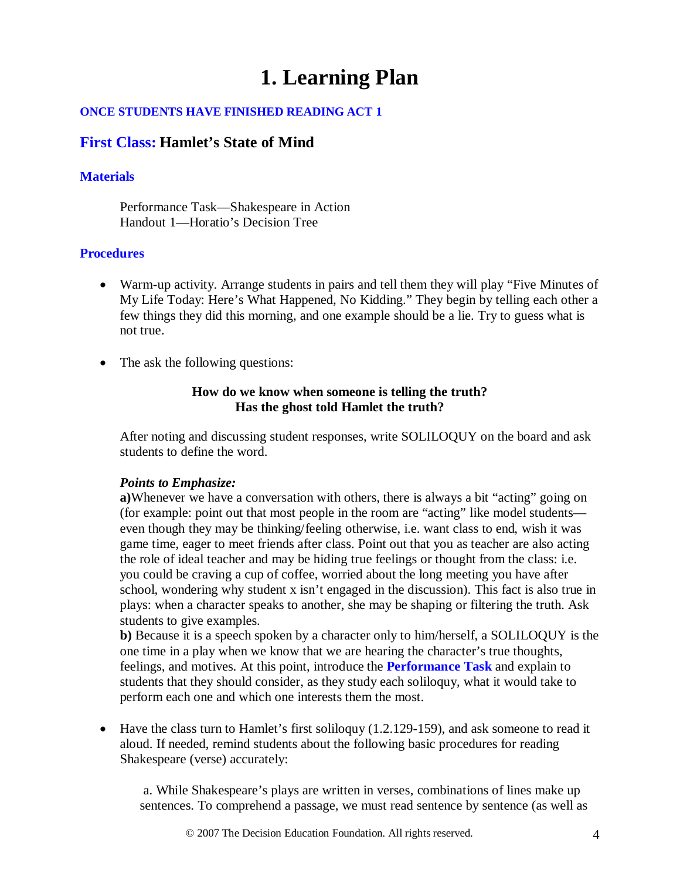# **1. Learning Plan**

#### **ONCE STUDENTS HAVE FINISHED READING ACT 1**

## **First Class: Hamlet's State of Mind**

### **Materials**

Performance Task—Shakespeare in Action Handout 1—Horatio's Decision Tree

### **Procedures**

- Warm-up activity. Arrange students in pairs and tell them they will play "Five Minutes of My Life Today: Here's What Happened, No Kidding." They begin by telling each other a few things they did this morning, and one example should be a lie. Try to guess what is not true.
- The ask the following questions:

#### **How do we know when someone is telling the truth? Has the ghost told Hamlet the truth?**

After noting and discussing student responses, write SOLILOQUY on the board and ask students to define the word.

#### *Points to Emphasize:*

**a)**Whenever we have a conversation with others, there is always a bit "acting" going on (for example: point out that most people in the room are "acting" like model students even though they may be thinking/feeling otherwise, i.e. want class to end, wish it was game time, eager to meet friends after class. Point out that you as teacher are also acting the role of ideal teacher and may be hiding true feelings or thought from the class: i.e. you could be craving a cup of coffee, worried about the long meeting you have after school, wondering why student x isn't engaged in the discussion). This fact is also true in plays: when a character speaks to another, she may be shaping or filtering the truth. Ask students to give examples.

**b)** Because it is a speech spoken by a character only to him/herself, a SOLILOQUY is the one time in a play when we know that we are hearing the character's true thoughts, feelings, and motives. At this point, introduce the **Performance Task** and explain to students that they should consider, as they study each soliloquy, what it would take to perform each one and which one interests them the most.

• Have the class turn to Hamlet's first soliloquy (1.2.129-159), and ask someone to read it aloud. If needed, remind students about the following basic procedures for reading Shakespeare (verse) accurately:

a. While Shakespeare's plays are written in verses, combinations of lines make up sentences. To comprehend a passage, we must read sentence by sentence (as well as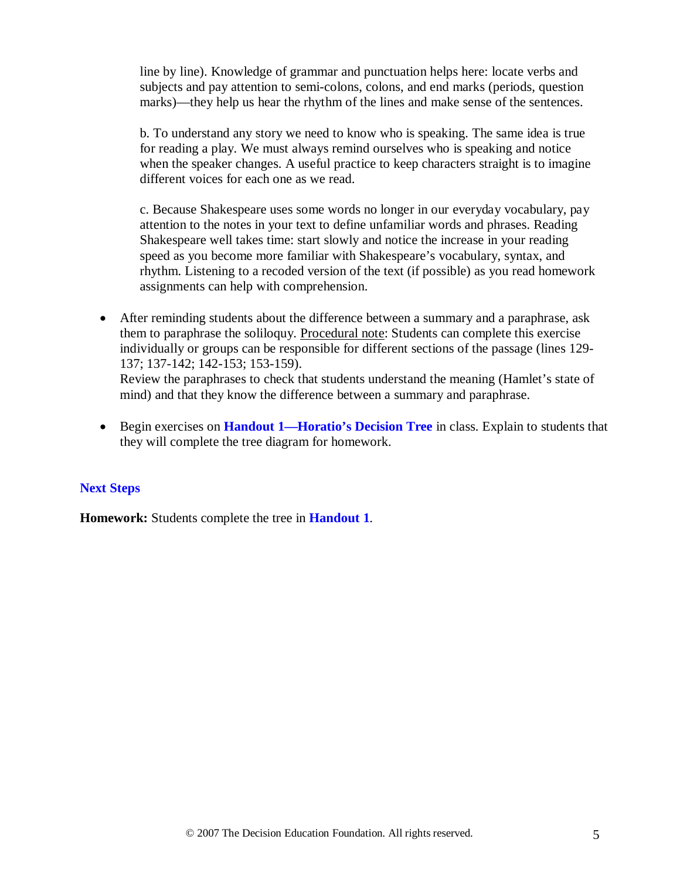line by line). Knowledge of grammar and punctuation helps here: locate verbs and subjects and pay attention to semi-colons, colons, and end marks (periods, question marks)—they help us hear the rhythm of the lines and make sense of the sentences.

b. To understand any story we need to know who is speaking. The same idea is true for reading a play. We must always remind ourselves who is speaking and notice when the speaker changes. A useful practice to keep characters straight is to imagine different voices for each one as we read.

c. Because Shakespeare uses some words no longer in our everyday vocabulary, pay attention to the notes in your text to define unfamiliar words and phrases. Reading Shakespeare well takes time: start slowly and notice the increase in your reading speed as you become more familiar with Shakespeare's vocabulary, syntax, and rhythm. Listening to a recoded version of the text (if possible) as you read homework assignments can help with comprehension.

- After reminding students about the difference between a summary and a paraphrase, ask them to paraphrase the soliloquy. Procedural note: Students can complete this exercise Review the paraphrases to check that students understand the meaning (Hamlet's state of mind) and that they know the difference between a summary and paraphrase. individually or groups can be responsible for different sections of the passage (lines 129- 137; 137-142; 142-153; 153-159).
- Begin exercises on **Handout 1—Horatio's Decision Tree** in class. Explain to students that they will complete the tree diagram for homework.

## **Next Steps**

**Homework:** Students complete the tree in **Handout 1**.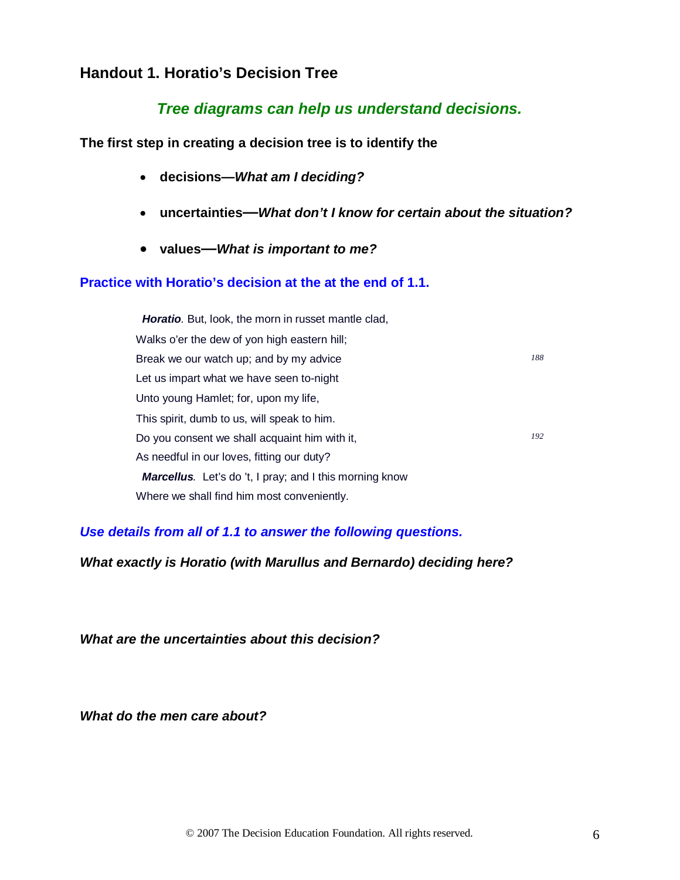# **Handout 1. Horatio's Decision Tree**

# *Tree diagrams can help us understand decisions.*

**The first step in creating a decision tree is to identify the**

- **decisions—***What am I deciding?*
- **uncertainties—***What don't I know for certain about the situation?*
- **values—***What is important to me?*

#### **Practice with Horatio's decision at the at the end of 1.1.**

 *Horatio.* But, look, the morn in russet mantle clad, Walks o'er the dew of yon high eastern hill; Break we our watch up; and by my advice *188* Let us impart what we have seen to-night Unto young Hamlet; for, upon my life, This spirit, dumb to us, will speak to him. Do you consent we shall acquaint him with it, *<sup>192</sup>* As needful in our loves, fitting our duty? *Marcellus.* Let's do 't, I pray; and I this morning know Where we shall find him most conveniently.

*Use details from all of 1.1 to answer the following questions.*

*What exactly is Horatio (with Marullus and Bernardo) deciding here?*

*What are the uncertainties about this decision?*

*What do the men care about?*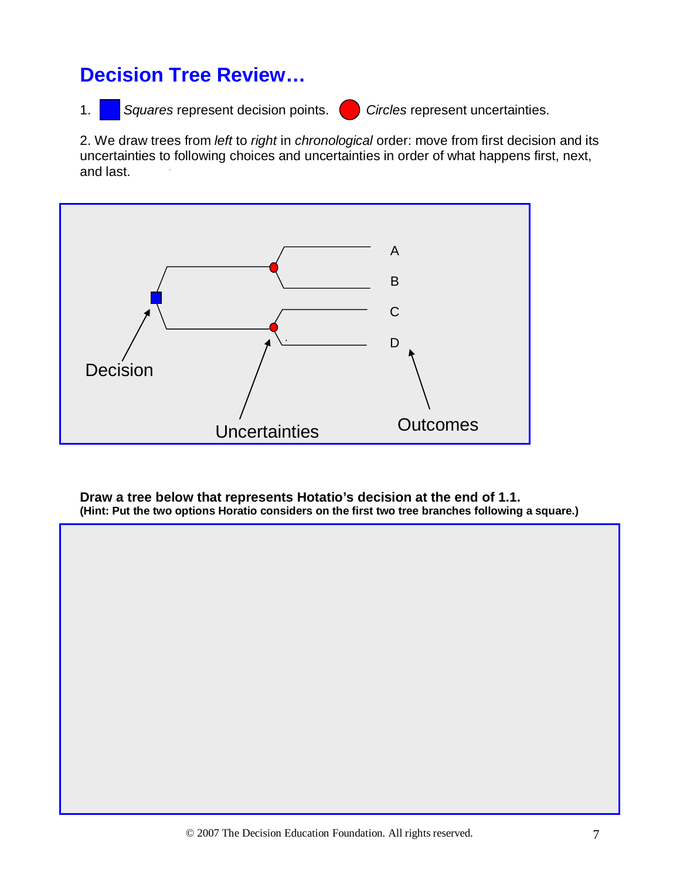# **Decision Tree Review…**

1. *Squares* represent decision points. *Circles* represent uncertainties.

2. We draw trees from *left* to *right* in *chronological* order: move from first decision and its uncertainties to following choices and uncertainties in order of what happens first, next, and last.



**Draw a tree below that represents Hotatio's decision at the end of 1.1. (Hint: Put the two options Horatio considers on the first two tree branches following a square.)**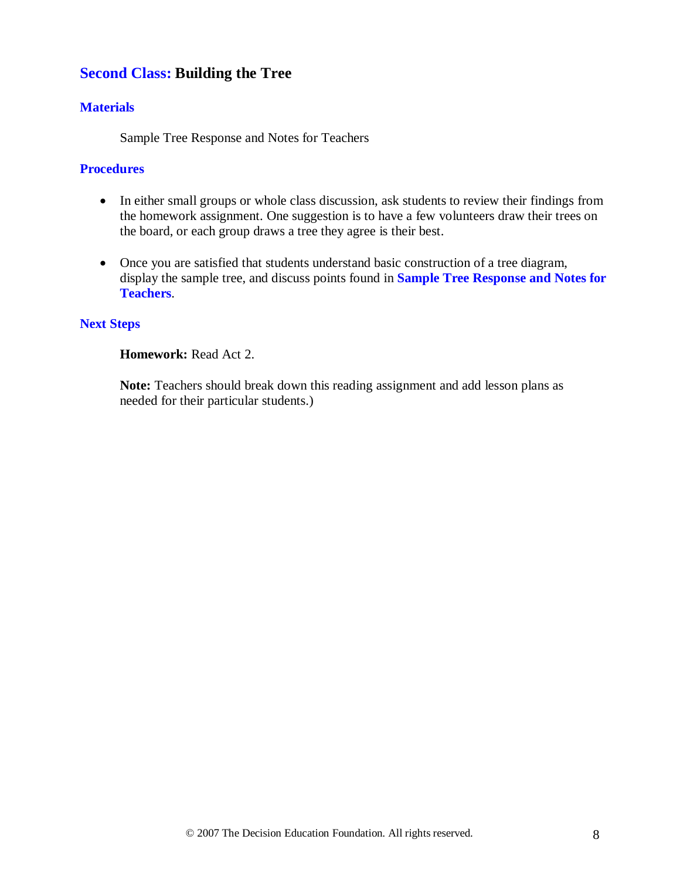# **Second Class: Building the Tree**

### **Materials**

Sample Tree Response and Notes for Teachers

#### **Procedures**

- In either small groups or whole class discussion, ask students to review their findings from the homework assignment. One suggestion is to have a few volunteers draw their trees on the board, or each group draws a tree they agree is their best.
- Once you are satisfied that students understand basic construction of a tree diagram, display the sample tree, and discuss points found in **Sample Tree Response and Notes for Teachers**.

#### **Next Steps**

#### **Homework:** Read Act 2.

**Note:** Teachers should break down this reading assignment and add lesson plans as needed for their particular students.)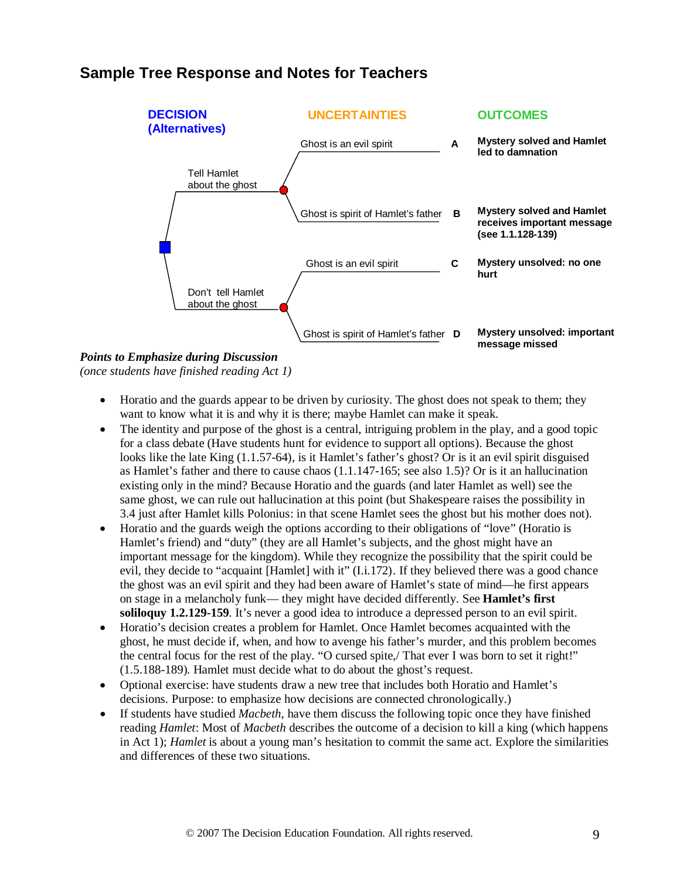# **Sample Tree Response and Notes for Teachers**



*Points to Emphasize during Discussion (once students have finished reading Act 1)*

- Horatio and the guards appear to be driven by curiosity. The ghost does not speak to them; they want to know what it is and why it is there; maybe Hamlet can make it speak.
- The identity and purpose of the ghost is a central, intriguing problem in the play, and a good topic for a class debate (Have students hunt for evidence to support all options). Because the ghost looks like the late King (1.1.57-64), is it Hamlet's father's ghost? Or is it an evil spirit disguised as Hamlet's father and there to cause chaos (1.1.147-165; see also 1.5)? Or is it an hallucination existing only in the mind? Because Horatio and the guards (and later Hamlet as well) see the same ghost, we can rule out hallucination at this point (but Shakespeare raises the possibility in 3.4 just after Hamlet kills Polonius: in that scene Hamlet sees the ghost but his mother does not).
- Horatio and the guards weigh the options according to their obligations of "love" (Horatio is Hamlet's friend) and "duty" (they are all Hamlet's subjects, and the ghost might have an important message for the kingdom). While they recognize the possibility that the spirit could be evil, they decide to "acquaint [Hamlet] with it" (I.i.172). If they believed there was a good chance the ghost was an evil spirit and they had been aware of Hamlet's state of mind—he first appears on stage in a melancholy funk— they might have decided differently. See **Hamlet's first soliloquy 1.2.129-159**. It's never a good idea to introduce a depressed person to an evil spirit.
- Horatio's decision creates a problem for Hamlet. Once Hamlet becomes acquainted with the ghost, he must decide if, when, and how to avenge his father's murder, and this problem becomes the central focus for the rest of the play. "O cursed spite,/ That ever I was born to set it right!" (1.5.188-189). Hamlet must decide what to do about the ghost's request.
- Optional exercise: have students draw a new tree that includes both Horatio and Hamlet's decisions. Purpose: to emphasize how decisions are connected chronologically.)
- If students have studied *Macbeth*, have them discuss the following topic once they have finished reading *Hamlet*: Most of *Macbeth* describes the outcome of a decision to kill a king (which happens in Act 1); *Hamlet* is about a young man's hesitation to commit the same act. Explore the similarities and differences of these two situations.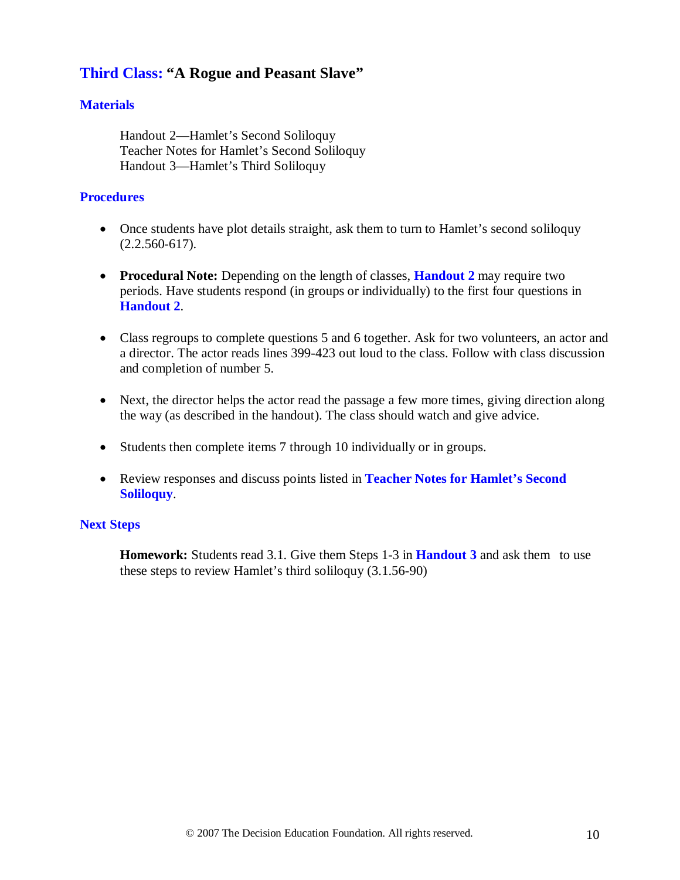# **Third Class: "A Rogue and Peasant Slave"**

### **Materials**

Handout 2—Hamlet's Second Soliloquy Teacher Notes for Hamlet's Second Soliloquy Handout 3—Hamlet's Third Soliloquy

#### **Procedures**

- Once students have plot details straight, ask them to turn to Hamlet's second soliloquy (2.2.560-617).
- **Procedural Note:** Depending on the length of classes, **Handout 2** may require two periods. Have students respond (in groups or individually) to the first four questions in **Handout 2**.
- Class regroups to complete questions 5 and 6 together. Ask for two volunteers, an actor and a director. The actor reads lines 399-423 out loud to the class. Follow with class discussion and completion of number 5.
- Next, the director helps the actor read the passage a few more times, giving direction along the way (as described in the handout). The class should watch and give advice.
- Students then complete items 7 through 10 individually or in groups.
- Review responses and discuss points listed in **Teacher Notes for Hamlet's Second Soliloquy**.

#### **Next Steps**

**Homework:** Students read 3.1. Give them Steps 1-3 in **Handout 3** and ask them to use these steps to review Hamlet's third soliloquy (3.1.56-90)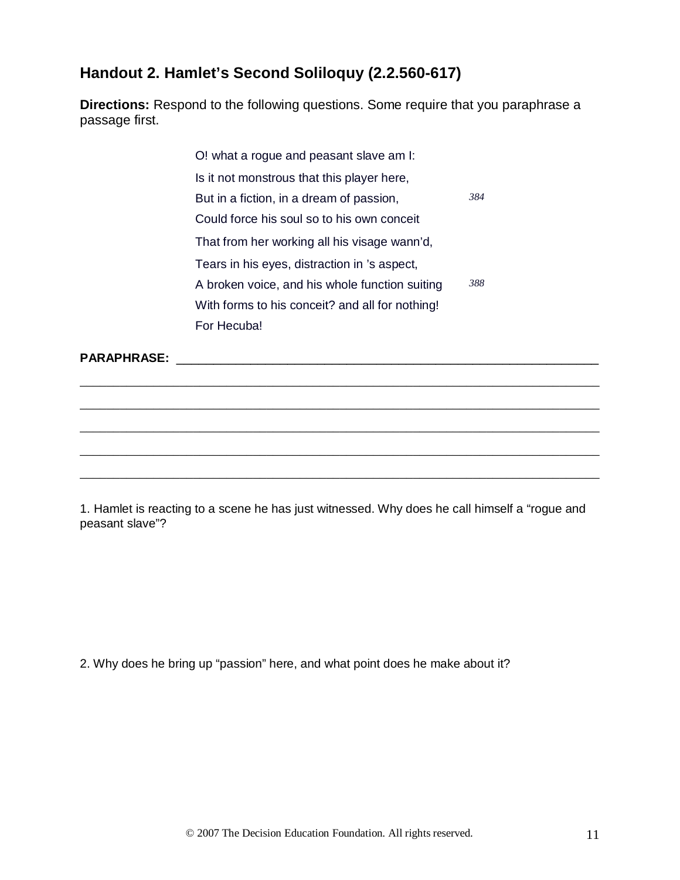# **Handout 2. Hamlet's Second Soliloquy (2.2.560-617)**

**Directions:** Respond to the following questions. Some require that you paraphrase a passage first.

> O! what a rogue and peasant slave am I: Is it not monstrous that this player here, But in a fiction, in a dream of passion, *384* Could force his soul so to his own conceit That from her working all his visage wann'd, Tears in his eyes, distraction in 's aspect, A broken voice, and his whole function suiting *388* With forms to his conceit? and all for nothing! For Hecuba!

\_\_\_\_\_\_\_\_\_\_\_\_\_\_\_\_\_\_\_\_\_\_\_\_\_\_\_\_\_\_\_\_\_\_\_\_\_\_\_\_\_\_\_\_\_\_\_\_\_\_\_\_\_\_\_\_\_\_\_\_\_\_\_\_\_\_\_\_\_\_\_\_\_\_\_\_\_\_

\_\_\_\_\_\_\_\_\_\_\_\_\_\_\_\_\_\_\_\_\_\_\_\_\_\_\_\_\_\_\_\_\_\_\_\_\_\_\_\_\_\_\_\_\_\_\_\_\_\_\_\_\_\_\_\_\_\_\_\_\_\_\_\_\_\_\_\_\_\_\_\_\_\_\_\_\_\_

\_\_\_\_\_\_\_\_\_\_\_\_\_\_\_\_\_\_\_\_\_\_\_\_\_\_\_\_\_\_\_\_\_\_\_\_\_\_\_\_\_\_\_\_\_\_\_\_\_\_\_\_\_\_\_\_\_\_\_\_\_\_\_\_\_\_\_\_\_\_\_\_\_\_\_\_\_\_

\_\_\_\_\_\_\_\_\_\_\_\_\_\_\_\_\_\_\_\_\_\_\_\_\_\_\_\_\_\_\_\_\_\_\_\_\_\_\_\_\_\_\_\_\_\_\_\_\_\_\_\_\_\_\_\_\_\_\_\_\_\_\_\_\_\_\_\_\_\_\_\_\_\_\_\_\_\_

\_\_\_\_\_\_\_\_\_\_\_\_\_\_\_\_\_\_\_\_\_\_\_\_\_\_\_\_\_\_\_\_\_\_\_\_\_\_\_\_\_\_\_\_\_\_\_\_\_\_\_\_\_\_\_\_\_\_\_\_\_\_\_\_\_\_\_\_\_\_\_\_\_\_\_\_\_\_

**PARAPHRASE:**  $\blacksquare$ 

1. Hamlet is reacting to a scene he has just witnessed. Why does he call himself a "rogue and peasant slave"?

2. Why does he bring up "passion" here, and what point does he make about it?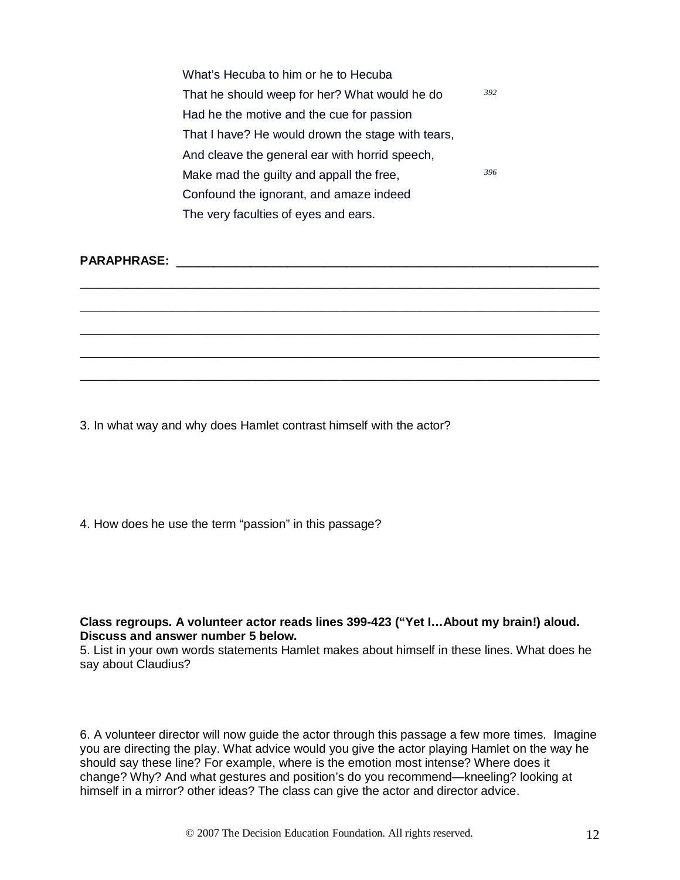| What's Hecuba to him or he to Hecuba              |  |  |
|---------------------------------------------------|--|--|
| That he should weep for her? What would he do     |  |  |
| Had he the motive and the cue for passion         |  |  |
| That I have? He would drown the stage with tears, |  |  |
| And cleave the general ear with horrid speech,    |  |  |
| 396<br>Make mad the guilty and appall the free,   |  |  |
| Confound the ignorant, and amaze indeed           |  |  |
| The very faculties of eyes and ears.              |  |  |

\_\_\_\_\_\_\_\_\_\_\_\_\_\_\_\_\_\_\_\_\_\_\_\_\_\_\_\_\_\_\_\_\_\_\_\_\_\_\_\_\_\_\_\_\_\_\_\_\_\_\_\_\_\_\_\_\_\_\_\_\_\_\_\_\_\_\_\_\_\_\_\_\_\_\_\_\_\_

\_\_\_\_\_\_\_\_\_\_\_\_\_\_\_\_\_\_\_\_\_\_\_\_\_\_\_\_\_\_\_\_\_\_\_\_\_\_\_\_\_\_\_\_\_\_\_\_\_\_\_\_\_\_\_\_\_\_\_\_\_\_\_\_\_\_\_\_\_\_\_\_\_\_\_\_\_\_

\_\_\_\_\_\_\_\_\_\_\_\_\_\_\_\_\_\_\_\_\_\_\_\_\_\_\_\_\_\_\_\_\_\_\_\_\_\_\_\_\_\_\_\_\_\_\_\_\_\_\_\_\_\_\_\_\_\_\_\_\_\_\_\_\_\_\_\_\_\_\_\_\_\_\_\_\_\_

\_\_\_\_\_\_\_\_\_\_\_\_\_\_\_\_\_\_\_\_\_\_\_\_\_\_\_\_\_\_\_\_\_\_\_\_\_\_\_\_\_\_\_\_\_\_\_\_\_\_\_\_\_\_\_\_\_\_\_\_\_\_\_\_\_\_\_\_\_\_\_\_\_\_\_\_\_\_

\_\_\_\_\_\_\_\_\_\_\_\_\_\_\_\_\_\_\_\_\_\_\_\_\_\_\_\_\_\_\_\_\_\_\_\_\_\_\_\_\_\_\_\_\_\_\_\_\_\_\_\_\_\_\_\_\_\_\_\_\_\_\_\_\_\_\_\_\_\_\_\_\_\_\_\_\_\_

## **PARAPHRASE:** \_\_\_\_\_\_\_\_\_\_\_\_\_\_\_\_\_\_\_\_\_\_\_\_\_\_\_\_\_\_\_\_\_\_\_\_\_\_\_\_\_\_\_\_\_\_\_\_\_\_\_\_\_\_\_\_\_

3. In what way and why does Hamlet contrast himself with the actor?

4. How does he use the term "passion" in this passage?

#### **Class regroups. A volunteer actor reads lines 399-423 ("Yet I…About my brain!) aloud. Discuss and answer number 5 below.**

5. List in your own words statements Hamlet makes about himself in these lines. What does he say about Claudius?

6. A volunteer director will now guide the actor through this passage a few more times. Imagine you are directing the play. What advice would you give the actor playing Hamlet on the way he should say these line? For example, where is the emotion most intense? Where does it change? Why? And what gestures and position's do you recommend—kneeling? looking at himself in a mirror? other ideas? The class can give the actor and director advice.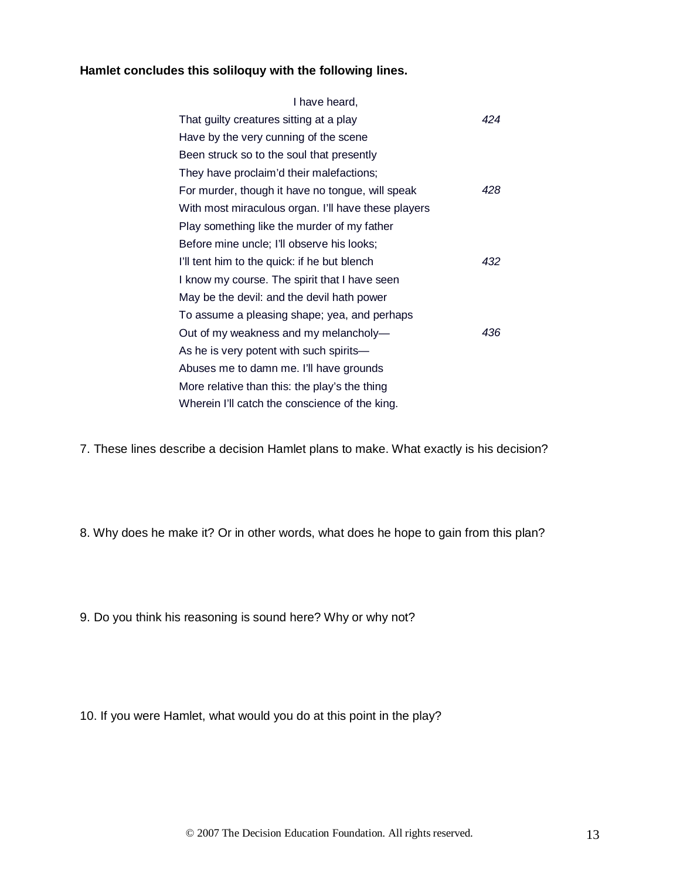## **Hamlet concludes this soliloquy with the following lines.**

| I have heard,                                       |     |  |  |
|-----------------------------------------------------|-----|--|--|
| That guilty creatures sitting at a play             | 424 |  |  |
| Have by the very cunning of the scene               |     |  |  |
| Been struck so to the soul that presently           |     |  |  |
| They have proclaim'd their malefactions;            |     |  |  |
| For murder, though it have no tongue, will speak    | 428 |  |  |
| With most miraculous organ. I'll have these players |     |  |  |
| Play something like the murder of my father         |     |  |  |
| Before mine uncle; I'll observe his looks;          |     |  |  |
| I'll tent him to the quick: if he but blench        | 432 |  |  |
| I know my course. The spirit that I have seen       |     |  |  |
| May be the devil: and the devil hath power          |     |  |  |
| To assume a pleasing shape; yea, and perhaps        |     |  |  |
| Out of my weakness and my melancholy-               | 436 |  |  |
| As he is very potent with such spirits-             |     |  |  |
| Abuses me to damn me. I'll have grounds             |     |  |  |
| More relative than this: the play's the thing       |     |  |  |
| Wherein I'll catch the conscience of the king.      |     |  |  |

7. These lines describe a decision Hamlet plans to make. What exactly is his decision?

8. Why does he make it? Or in other words, what does he hope to gain from this plan?

9. Do you think his reasoning is sound here? Why or why not?

10. If you were Hamlet, what would you do at this point in the play?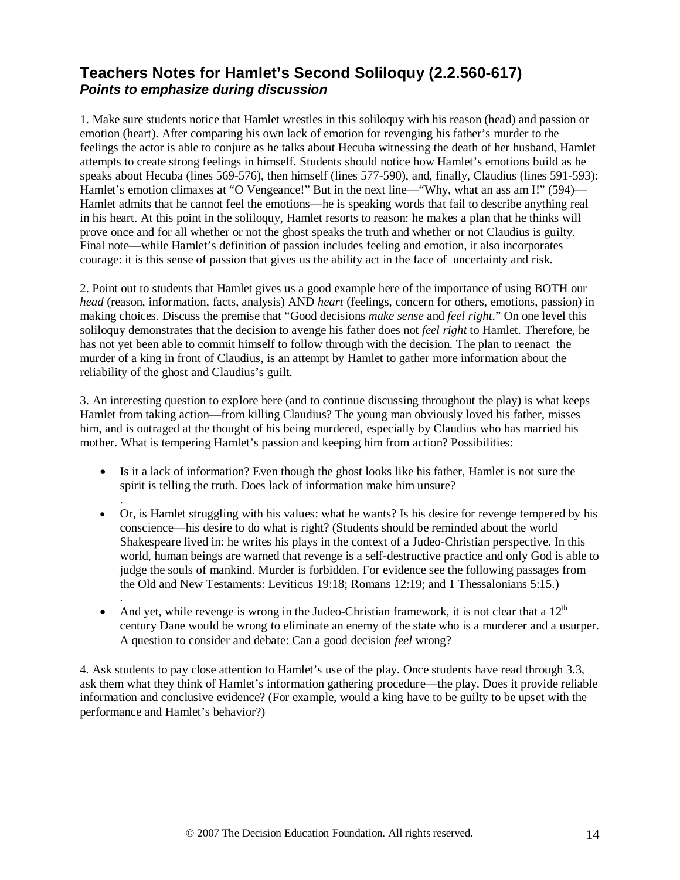# **Teachers Notes for Hamlet's Second Soliloquy (2.2.560-617)**  *Points to emphasize during discussion*

1. Make sure students notice that Hamlet wrestles in this soliloquy with his reason (head) and passion or emotion (heart). After comparing his own lack of emotion for revenging his father's murder to the feelings the actor is able to conjure as he talks about Hecuba witnessing the death of her husband, Hamlet attempts to create strong feelings in himself. Students should notice how Hamlet's emotions build as he speaks about Hecuba (lines 569-576), then himself (lines 577-590), and, finally, Claudius (lines 591-593): Hamlet's emotion climaxes at "O Vengeance!" But in the next line—"Why, what an ass am I!" (594)— Hamlet admits that he cannot feel the emotions—he is speaking words that fail to describe anything real in his heart. At this point in the soliloquy, Hamlet resorts to reason: he makes a plan that he thinks will prove once and for all whether or not the ghost speaks the truth and whether or not Claudius is guilty. Final note—while Hamlet's definition of passion includes feeling and emotion, it also incorporates courage: it is this sense of passion that gives us the ability act in the face of uncertainty and risk.

2. Point out to students that Hamlet gives us a good example here of the importance of using BOTH our *head* (reason, information, facts, analysis) AND *heart* (feelings, concern for others, emotions, passion) in making choices. Discuss the premise that "Good decisions *make sense* and *feel right*." On one level this soliloquy demonstrates that the decision to avenge his father does not *feel right* to Hamlet. Therefore, he has not yet been able to commit himself to follow through with the decision. The plan to reenact the murder of a king in front of Claudius, is an attempt by Hamlet to gather more information about the reliability of the ghost and Claudius's guilt.

3. An interesting question to explore here (and to continue discussing throughout the play) is what keeps Hamlet from taking action—from killing Claudius? The young man obviously loved his father, misses him, and is outraged at the thought of his being murdered, especially by Claudius who has married his mother. What is tempering Hamlet's passion and keeping him from action? Possibilities:

- Is it a lack of information? Even though the ghost looks like his father, Hamlet is not sure the spirit is telling the truth. Does lack of information make him unsure?
- . • Or, is Hamlet struggling with his values: what he wants? Is his desire for revenge tempered by his conscience—his desire to do what is right? (Students should be reminded about the world Shakespeare lived in: he writes his plays in the context of a Judeo-Christian perspective. In this world, human beings are warned that revenge is a self-destructive practice and only God is able to judge the souls of mankind. Murder is forbidden. For evidence see the following passages from the Old and New Testaments: Leviticus 19:18; Romans 12:19; and 1 Thessalonians 5:15.)
- And yet, while revenge is wrong in the Judeo-Christian framework, it is not clear that a  $12<sup>th</sup>$ century Dane would be wrong to eliminate an enemy of the state who is a murderer and a usurper. A question to consider and debate: Can a good decision *feel* wrong?

.

4. Ask students to pay close attention to Hamlet's use of the play. Once students have read through 3.3, ask them what they think of Hamlet's information gathering procedure—the play. Does it provide reliable information and conclusive evidence? (For example, would a king have to be guilty to be upset with the performance and Hamlet's behavior?)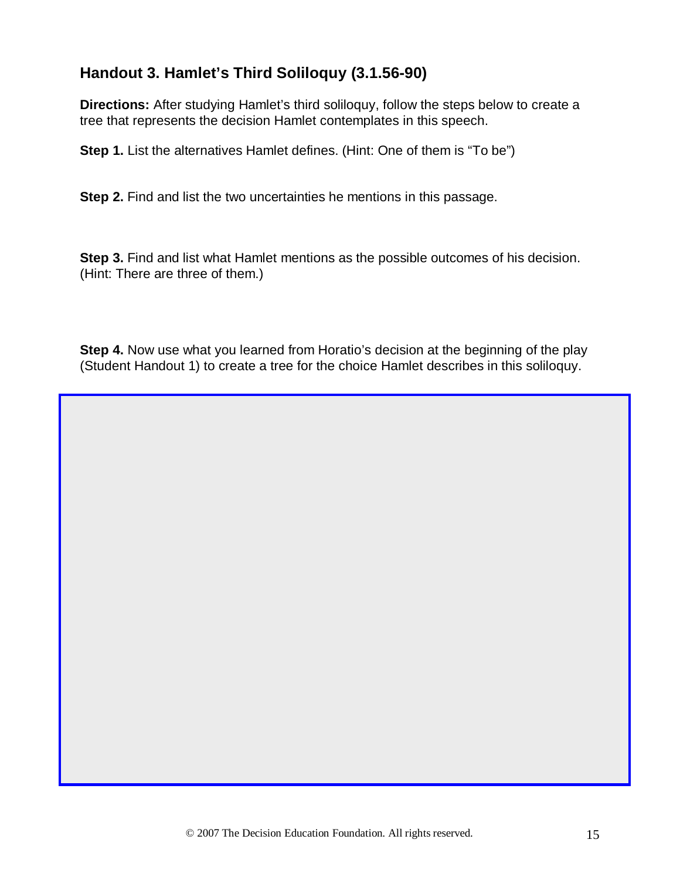# **Handout 3. Hamlet's Third Soliloquy (3.1.56-90)**

**Directions:** After studying Hamlet's third soliloquy, follow the steps below to create a tree that represents the decision Hamlet contemplates in this speech.

**Step 1.** List the alternatives Hamlet defines. (Hint: One of them is "To be")

**Step 2.** Find and list the two uncertainties he mentions in this passage.

**Step 3.** Find and list what Hamlet mentions as the possible outcomes of his decision. (Hint: There are three of them.)

**Step 4.** Now use what you learned from Horatio's decision at the beginning of the play (Student Handout 1) to create a tree for the choice Hamlet describes in this soliloquy.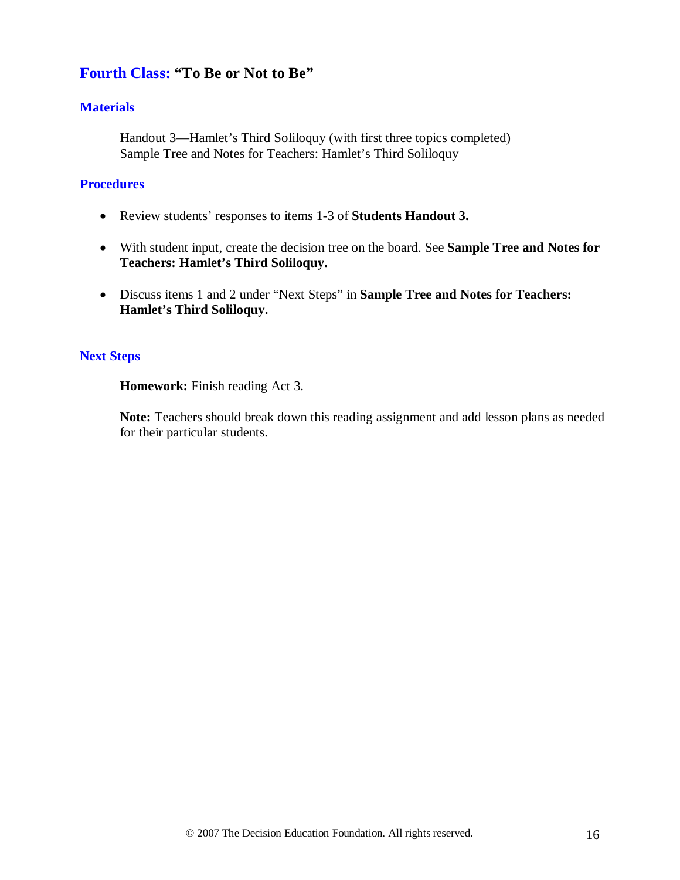## **Fourth Class: "To Be or Not to Be"**

### **Materials**

Handout 3—Hamlet's Third Soliloquy (with first three topics completed) Sample Tree and Notes for Teachers: Hamlet's Third Soliloquy

#### **Procedures**

- Review students' responses to items 1-3 of **Students Handout 3.**
- With student input, create the decision tree on the board. See **Sample Tree and Notes for Teachers: Hamlet's Third Soliloquy.**
- Discuss items 1 and 2 under "Next Steps" in **Sample Tree and Notes for Teachers: Hamlet's Third Soliloquy.**

#### **Next Steps**

**Homework:** Finish reading Act 3.

**Note:** Teachers should break down this reading assignment and add lesson plans as needed for their particular students.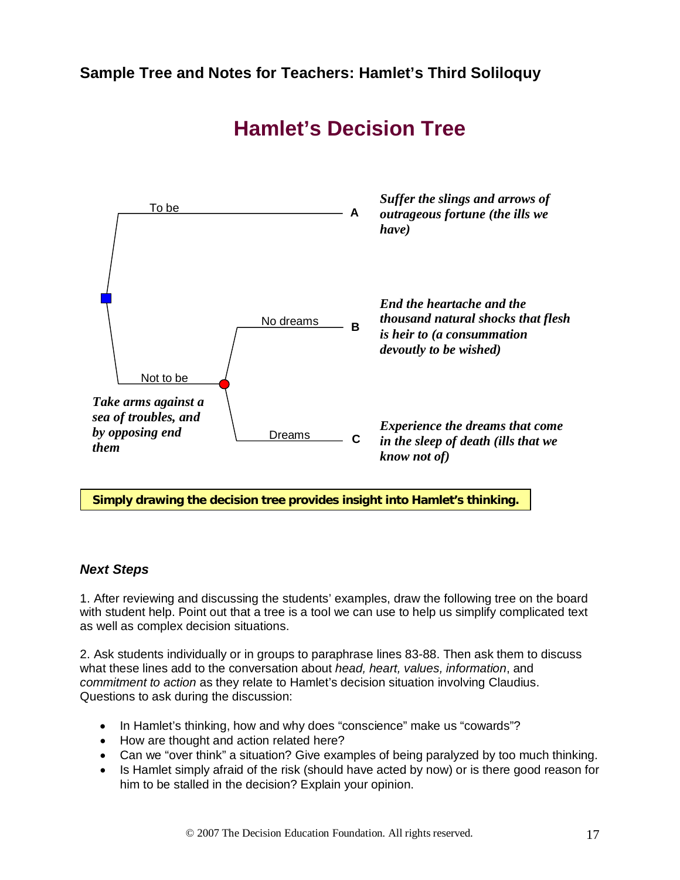

# **Hamlet's Decision Tree**

**Simply drawing the decision tree provides insight into Hamlet's thinking.** 

## *Next Steps*

1. After reviewing and discussing the students' examples, draw the following tree on the board with student help. Point out that a tree is a tool we can use to help us simplify complicated text as well as complex decision situations.

2. Ask students individually or in groups to paraphrase lines 83-88. Then ask them to discuss what these lines add to the conversation about *head, heart, values, information*, and *commitment to action* as they relate to Hamlet's decision situation involving Claudius. Questions to ask during the discussion:

- In Hamlet's thinking, how and why does "conscience" make us "cowards"?
- How are thought and action related here?
- Can we "over think" a situation? Give examples of being paralyzed by too much thinking.
- Is Hamlet simply afraid of the risk (should have acted by now) or is there good reason for him to be stalled in the decision? Explain your opinion.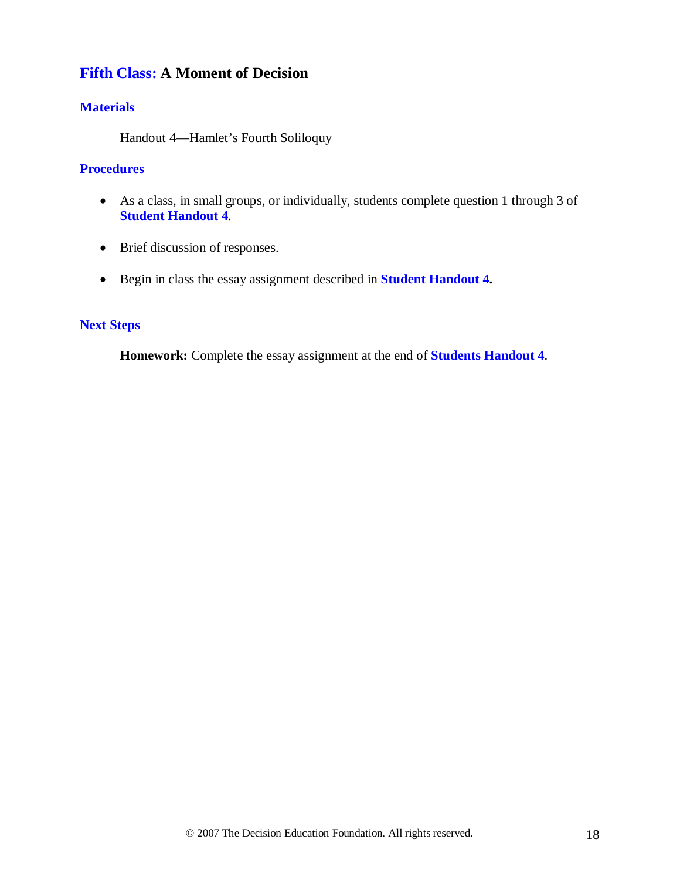# **Fifth Class: A Moment of Decision**

## **Materials**

Handout 4—Hamlet's Fourth Soliloquy

#### **Procedures**

- As a class, in small groups, or individually, students complete question 1 through 3 of **Student Handout 4**.
- Brief discussion of responses.
- Begin in class the essay assignment described in **Student Handout 4.**

## **Next Steps**

**Homework:** Complete the essay assignment at the end of **Students Handout 4**.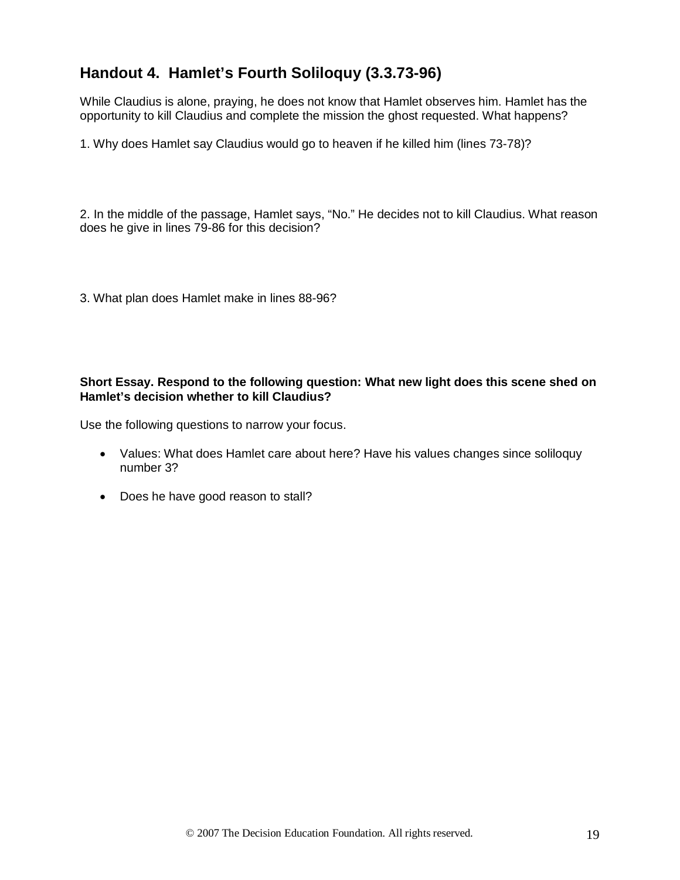# **Handout 4. Hamlet's Fourth Soliloquy (3.3.73-96)**

While Claudius is alone, praying, he does not know that Hamlet observes him. Hamlet has the opportunity to kill Claudius and complete the mission the ghost requested. What happens?

1. Why does Hamlet say Claudius would go to heaven if he killed him (lines 73-78)?

2. In the middle of the passage, Hamlet says, "No." He decides not to kill Claudius. What reason does he give in lines 79-86 for this decision?

3. What plan does Hamlet make in lines 88-96?

#### **Short Essay. Respond to the following question: What new light does this scene shed on Hamlet's decision whether to kill Claudius?**

Use the following questions to narrow your focus.

- Values: What does Hamlet care about here? Have his values changes since soliloquy number 3?
- Does he have good reason to stall?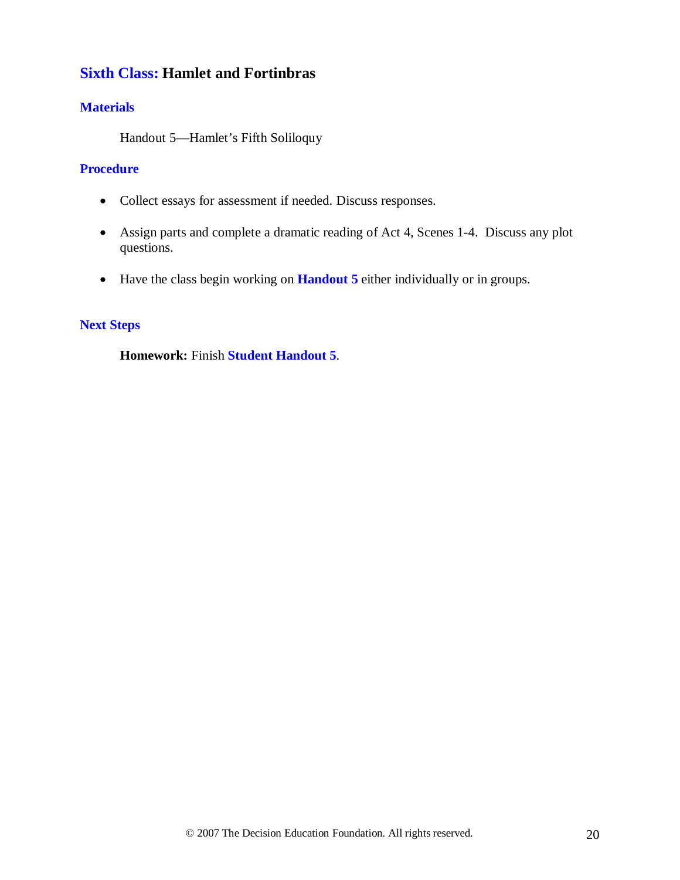# **Sixth Class: Hamlet and Fortinbras**

## **Materials**

Handout 5—Hamlet's Fifth Soliloquy

### **Procedure**

- Collect essays for assessment if needed. Discuss responses.
- Assign parts and complete a dramatic reading of Act 4, Scenes 1-4. Discuss any plot questions.
- Have the class begin working on **Handout 5** either individually or in groups.

## **Next Steps**

**Homework:** Finish **Student Handout 5**.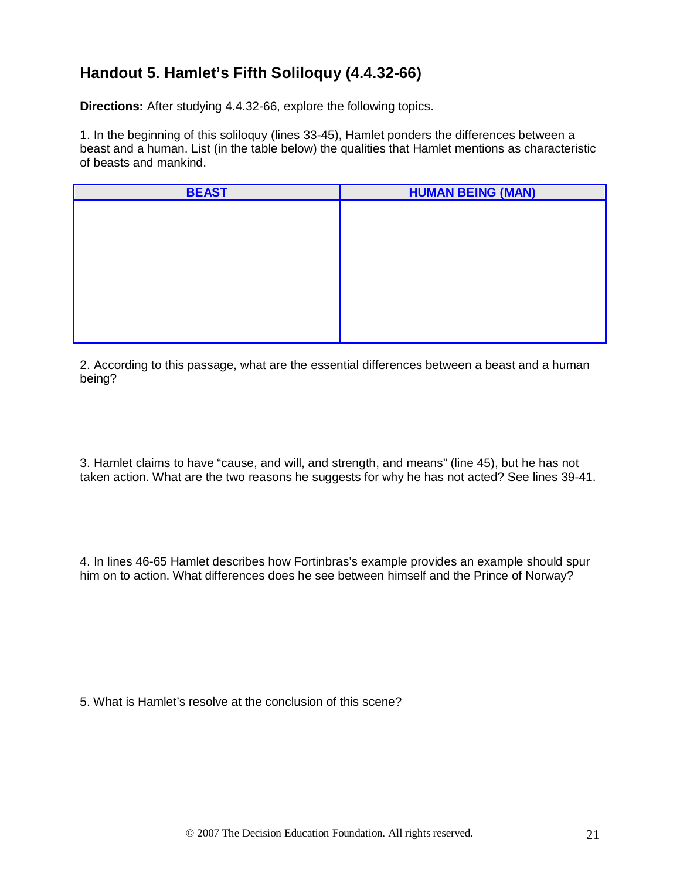# **Handout 5. Hamlet's Fifth Soliloquy (4.4.32-66)**

**Directions:** After studying 4.4.32-66, explore the following topics.

1. In the beginning of this soliloquy (lines 33-45), Hamlet ponders the differences between a beast and a human. List (in the table below) the qualities that Hamlet mentions as characteristic of beasts and mankind.

| <b>BEAST</b> | <b>HUMAN BEING (MAN)</b> |
|--------------|--------------------------|
|              |                          |
|              |                          |
|              |                          |
|              |                          |
|              |                          |
|              |                          |
|              |                          |
|              |                          |
|              |                          |

2. According to this passage, what are the essential differences between a beast and a human being?

3. Hamlet claims to have "cause, and will, and strength, and means" (line 45), but he has not taken action. What are the two reasons he suggests for why he has not acted? See lines 39-41.

4. In lines 46-65 Hamlet describes how Fortinbras's example provides an example should spur him on to action. What differences does he see between himself and the Prince of Norway?

5. What is Hamlet's resolve at the conclusion of this scene?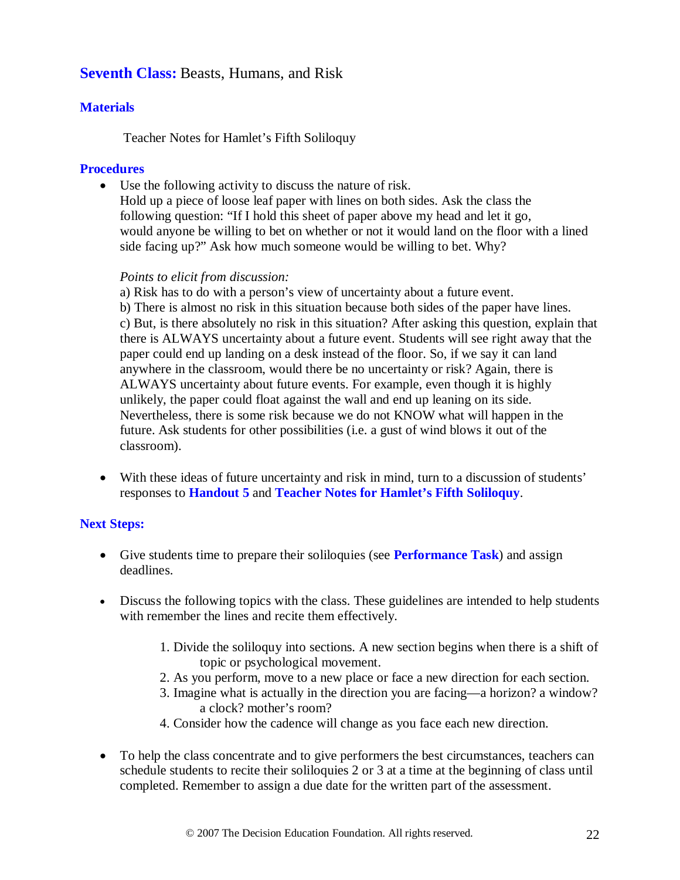# **Seventh Class:** Beasts, Humans, and Risk

## **Materials**

Teacher Notes for Hamlet's Fifth Soliloquy

### **Procedures**

• Use the following activity to discuss the nature of risk.

Hold up a piece of loose leaf paper with lines on both sides. Ask the class the following question: "If I hold this sheet of paper above my head and let it go, would anyone be willing to bet on whether or not it would land on the floor with a lined side facing up?" Ask how much someone would be willing to bet. Why?

### *Points to elicit from discussion:*

a) Risk has to do with a person's view of uncertainty about a future event. b) There is almost no risk in this situation because both sides of the paper have lines. c) But, is there absolutely no risk in this situation? After asking this question, explain that there is ALWAYS uncertainty about a future event. Students will see right away that the paper could end up landing on a desk instead of the floor. So, if we say it can land anywhere in the classroom, would there be no uncertainty or risk? Again, there is ALWAYS uncertainty about future events. For example, even though it is highly unlikely, the paper could float against the wall and end up leaning on its side. Nevertheless, there is some risk because we do not KNOW what will happen in the future. Ask students for other possibilities (i.e. a gust of wind blows it out of the classroom).

• With these ideas of future uncertainty and risk in mind, turn to a discussion of students' responses to **Handout 5** and **Teacher Notes for Hamlet's Fifth Soliloquy**.

## **Next Steps:**

- Give students time to prepare their soliloquies (see **Performance Task**) and assign deadlines.
- Discuss the following topics with the class. These guidelines are intended to help students with remember the lines and recite them effectively.
	- 1. Divide the soliloquy into sections. A new section begins when there is a shift of topic or psychological movement.
	- 2. As you perform, move to a new place or face a new direction for each section.
	- 3. Imagine what is actually in the direction you are facing—a horizon? a window? a clock? mother's room?
	- 4. Consider how the cadence will change as you face each new direction.
- To help the class concentrate and to give performers the best circumstances, teachers can schedule students to recite their soliloquies 2 or 3 at a time at the beginning of class until completed. Remember to assign a due date for the written part of the assessment.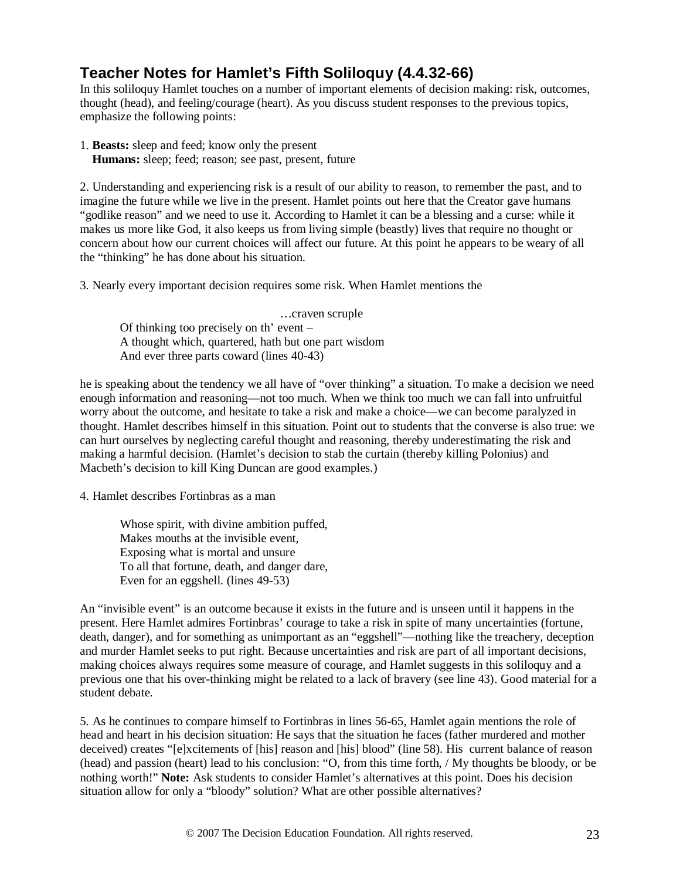# **Teacher Notes for Hamlet's Fifth Soliloquy (4.4.32-66)**

In this soliloquy Hamlet touches on a number of important elements of decision making: risk, outcomes, thought (head), and feeling/courage (heart). As you discuss student responses to the previous topics, emphasize the following points:

1. **Beasts:** sleep and feed; know only the present

**Humans:** sleep; feed; reason; see past, present, future

2. Understanding and experiencing risk is a result of our ability to reason, to remember the past, and to imagine the future while we live in the present. Hamlet points out here that the Creator gave humans "godlike reason" and we need to use it. According to Hamlet it can be a blessing and a curse: while it makes us more like God, it also keeps us from living simple (beastly) lives that require no thought or concern about how our current choices will affect our future. At this point he appears to be weary of all the "thinking" he has done about his situation.

3. Nearly every important decision requires some risk. When Hamlet mentions the

…craven scruple Of thinking too precisely on th' event – A thought which, quartered, hath but one part wisdom And ever three parts coward (lines 40-43)

he is speaking about the tendency we all have of "over thinking" a situation. To make a decision we need enough information and reasoning—not too much. When we think too much we can fall into unfruitful worry about the outcome, and hesitate to take a risk and make a choice—we can become paralyzed in thought. Hamlet describes himself in this situation. Point out to students that the converse is also true: we can hurt ourselves by neglecting careful thought and reasoning, thereby underestimating the risk and making a harmful decision. (Hamlet's decision to stab the curtain (thereby killing Polonius) and Macbeth's decision to kill King Duncan are good examples.)

4. Hamlet describes Fortinbras as a man

Whose spirit, with divine ambition puffed, Makes mouths at the invisible event, Exposing what is mortal and unsure To all that fortune, death, and danger dare, Even for an eggshell. (lines 49-53)

An "invisible event" is an outcome because it exists in the future and is unseen until it happens in the present. Here Hamlet admires Fortinbras' courage to take a risk in spite of many uncertainties (fortune, death, danger), and for something as unimportant as an "eggshell"—nothing like the treachery, deception and murder Hamlet seeks to put right. Because uncertainties and risk are part of all important decisions, making choices always requires some measure of courage, and Hamlet suggests in this soliloquy and a previous one that his over-thinking might be related to a lack of bravery (see line 43). Good material for a student debate.

5. As he continues to compare himself to Fortinbras in lines 56-65, Hamlet again mentions the role of head and heart in his decision situation: He says that the situation he faces (father murdered and mother deceived) creates "[e]xcitements of [his] reason and [his] blood" (line 58). His current balance of reason (head) and passion (heart) lead to his conclusion: "O, from this time forth, / My thoughts be bloody, or be nothing worth!" **Note:** Ask students to consider Hamlet's alternatives at this point. Does his decision situation allow for only a "bloody" solution? What are other possible alternatives?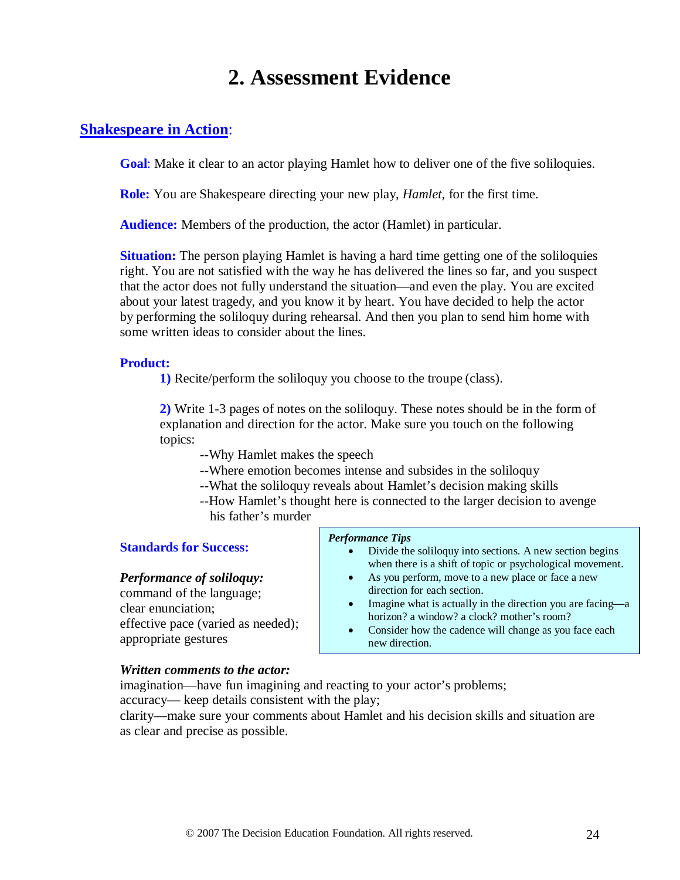# **2. Assessment Evidence**

## **Shakespeare in Action**:

**Goal**: Make it clear to an actor playing Hamlet how to deliver one of the five soliloquies.

**Role:** You are Shakespeare directing your new play, *Hamlet*, for the first time.

**Audience:** Members of the production, the actor (Hamlet) in particular.

**Situation:** The person playing Hamlet is having a hard time getting one of the soliloquies right. You are not satisfied with the way he has delivered the lines so far, and you suspect that the actor does not fully understand the situation—and even the play. You are excited about your latest tragedy, and you know it by heart. You have decided to help the actor by performing the soliloquy during rehearsal. And then you plan to send him home with some written ideas to consider about the lines.

#### **Product:**

**1)** Recite/perform the soliloquy you choose to the troupe (class).

**2)** Write 1-3 pages of notes on the soliloquy. These notes should be in the form of explanation and direction for the actor. Make sure you touch on the following topics:

--Why Hamlet makes the speech

- --Where emotion becomes intense and subsides in the soliloquy
- --What the soliloquy reveals about Hamlet's decision making skills
- --How Hamlet's thought here is connected to the larger decision to avenge

his father's murder

#### **Standards for Success:**

#### *Performance of soliloquy:*

command of the language; clear enunciation; effective pace (varied as needed); appropriate gestures

#### *Performance Tips*

- Divide the soliloquy into sections. A new section begins when there is a shift of topic or psychological movement.
- As you perform, move to a new place or face a new direction for each section.
- Imagine what is actually in the direction you are facing—a horizon? a window? a clock? mother's room?
- Consider how the cadence will change as you face each new direction.

#### *Written comments to the actor:*

imagination—have fun imagining and reacting to your actor's problems;

accuracy— keep details consistent with the play;

clarity—make sure your comments about Hamlet and his decision skills and situation are as clear and precise as possible.